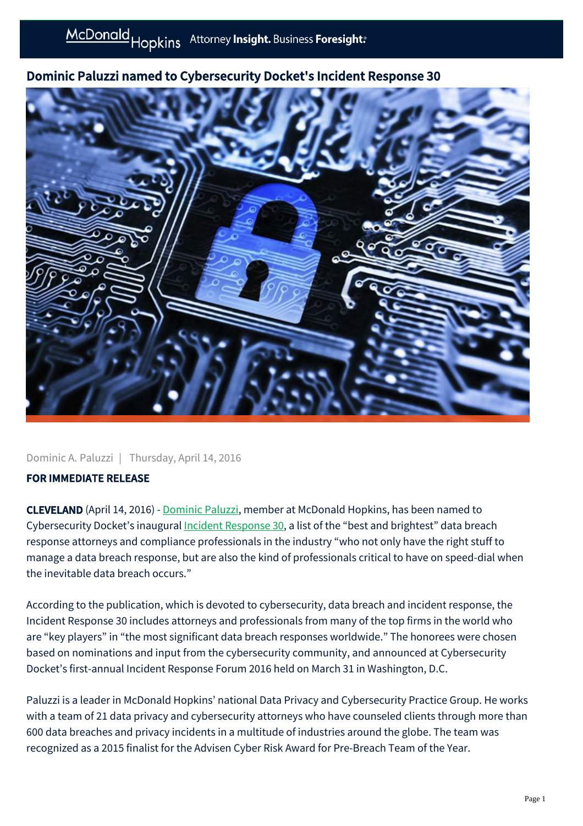## Dominic Paluzzi named to Cybersecurity Docket's Incident Response 30



Dominic A. Paluzzi | Thursday, April 14, 2016

## FOR IMMEDIATE RELEASE

CLEVELAND (April 14, 2016) - [Dominic Paluzzi](https://mcdonaldhopkins.com/link.aspx?_id=84FA806660B8416BA907CD88D5E49B8B&_z=z), member at McDonald Hopkins, has been named to Cybersecurity Docket's inaugural [Incident Response 30,](http://www.cybersecuritydocket.com/2016/04/01/cybersecurity-docket-announces-inaugural-incident-response-30/) a list of the "best and brightest" data breach response attorneys and compliance professionals in the industry "who not only have the right stuff to manage a data breach response, but are also the kind of professionals critical to have on speed-dial when the inevitable data breach occurs."

According to the publication, which is devoted to cybersecurity, data breach and incident response, the Incident Response 30 includes attorneys and professionals from many of the top firms in the world who are "key players" in "the most significant data breach responses worldwide." The honorees were chosen based on nominations and input from the cybersecurity community, and announced at Cybersecurity Docket's first-annual Incident Response Forum 2016 held on March 31 in Washington, D.C.

Paluzzi is a leader in McDonald Hopkins' national Data Privacy and Cybersecurity Practice Group. He works with a team of 21 data privacy and cybersecurity attorneys who have counseled clients through more than 600 data breaches and privacy incidents in a multitude of industries around the globe. The team was recognized as a 2015 finalist for the Advisen Cyber Risk Award for Pre-Breach Team of the Year.